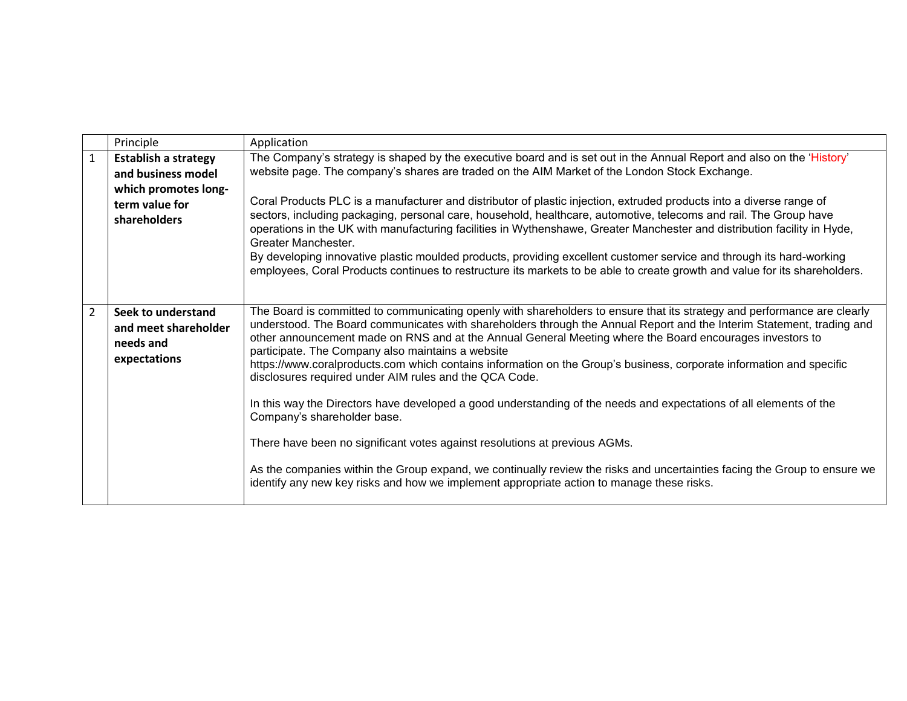|                | Principle                                                                                   | Application                                                                                                                                                                                                                                                                                                                                                                                                                                                                                                                                                                                                                                                                                                                                                                                                                             |
|----------------|---------------------------------------------------------------------------------------------|-----------------------------------------------------------------------------------------------------------------------------------------------------------------------------------------------------------------------------------------------------------------------------------------------------------------------------------------------------------------------------------------------------------------------------------------------------------------------------------------------------------------------------------------------------------------------------------------------------------------------------------------------------------------------------------------------------------------------------------------------------------------------------------------------------------------------------------------|
| 1              | <b>Establish a strategy</b><br>and business model<br>which promotes long-<br>term value for | The Company's strategy is shaped by the executive board and is set out in the Annual Report and also on the 'History'<br>website page. The company's shares are traded on the AIM Market of the London Stock Exchange.<br>Coral Products PLC is a manufacturer and distributor of plastic injection, extruded products into a diverse range of<br>sectors, including packaging, personal care, household, healthcare, automotive, telecoms and rail. The Group have                                                                                                                                                                                                                                                                                                                                                                     |
|                | shareholders                                                                                | operations in the UK with manufacturing facilities in Wythenshawe, Greater Manchester and distribution facility in Hyde,<br>Greater Manchester.<br>By developing innovative plastic moulded products, providing excellent customer service and through its hard-working<br>employees, Coral Products continues to restructure its markets to be able to create growth and value for its shareholders.                                                                                                                                                                                                                                                                                                                                                                                                                                   |
| $\overline{2}$ | Seek to understand<br>and meet shareholder<br>needs and<br>expectations                     | The Board is committed to communicating openly with shareholders to ensure that its strategy and performance are clearly<br>understood. The Board communicates with shareholders through the Annual Report and the Interim Statement, trading and<br>other announcement made on RNS and at the Annual General Meeting where the Board encourages investors to<br>participate. The Company also maintains a website<br>https://www.coralproducts.com which contains information on the Group's business, corporate information and specific<br>disclosures required under AIM rules and the QCA Code.<br>In this way the Directors have developed a good understanding of the needs and expectations of all elements of the<br>Company's shareholder base.<br>There have been no significant votes against resolutions at previous AGMs. |
|                |                                                                                             | As the companies within the Group expand, we continually review the risks and uncertainties facing the Group to ensure we<br>identify any new key risks and how we implement appropriate action to manage these risks.                                                                                                                                                                                                                                                                                                                                                                                                                                                                                                                                                                                                                  |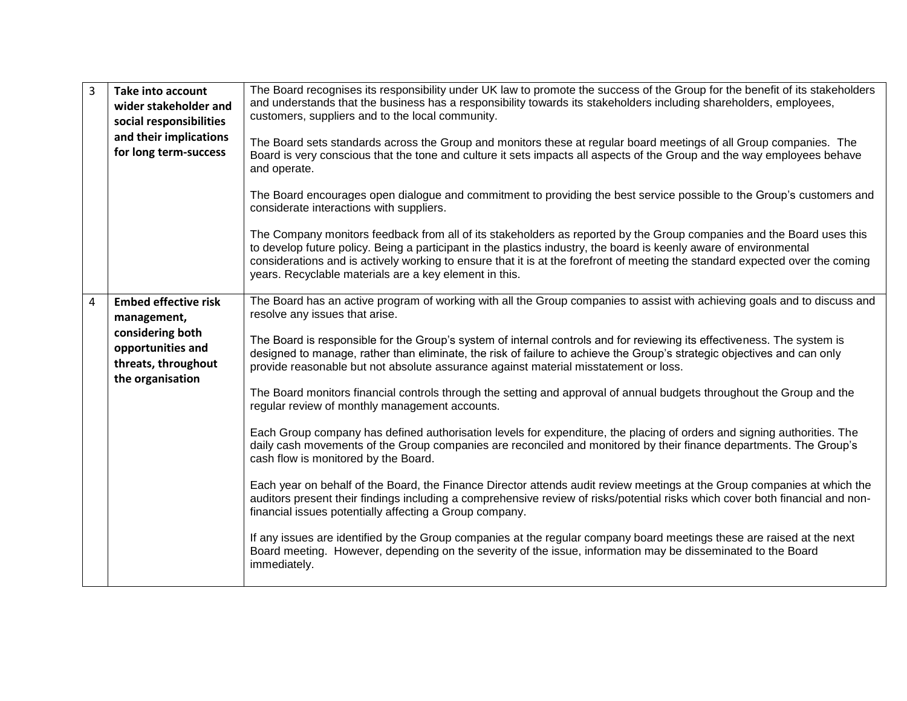| 3 | <b>Take into account</b><br>wider stakeholder and<br>social responsibilities<br>and their implications<br>for long term-success | The Board recognises its responsibility under UK law to promote the success of the Group for the benefit of its stakeholders<br>and understands that the business has a responsibility towards its stakeholders including shareholders, employees,<br>customers, suppliers and to the local community.<br>The Board sets standards across the Group and monitors these at regular board meetings of all Group companies. The<br>Board is very conscious that the tone and culture it sets impacts all aspects of the Group and the way employees behave<br>and operate.                                                                                                                                                                                                                                                                                                                                                                                                                                                                                                                                                                                                                                                                                                                                                                                                                                                                                                                                                                                         |
|---|---------------------------------------------------------------------------------------------------------------------------------|-----------------------------------------------------------------------------------------------------------------------------------------------------------------------------------------------------------------------------------------------------------------------------------------------------------------------------------------------------------------------------------------------------------------------------------------------------------------------------------------------------------------------------------------------------------------------------------------------------------------------------------------------------------------------------------------------------------------------------------------------------------------------------------------------------------------------------------------------------------------------------------------------------------------------------------------------------------------------------------------------------------------------------------------------------------------------------------------------------------------------------------------------------------------------------------------------------------------------------------------------------------------------------------------------------------------------------------------------------------------------------------------------------------------------------------------------------------------------------------------------------------------------------------------------------------------|
|   |                                                                                                                                 | The Board encourages open dialogue and commitment to providing the best service possible to the Group's customers and<br>considerate interactions with suppliers.<br>The Company monitors feedback from all of its stakeholders as reported by the Group companies and the Board uses this<br>to develop future policy. Being a participant in the plastics industry, the board is keenly aware of environmental<br>considerations and is actively working to ensure that it is at the forefront of meeting the standard expected over the coming<br>years. Recyclable materials are a key element in this.                                                                                                                                                                                                                                                                                                                                                                                                                                                                                                                                                                                                                                                                                                                                                                                                                                                                                                                                                     |
| 4 | <b>Embed effective risk</b><br>management,<br>considering both<br>opportunities and<br>threats, throughout<br>the organisation  | The Board has an active program of working with all the Group companies to assist with achieving goals and to discuss and<br>resolve any issues that arise.<br>The Board is responsible for the Group's system of internal controls and for reviewing its effectiveness. The system is<br>designed to manage, rather than eliminate, the risk of failure to achieve the Group's strategic objectives and can only<br>provide reasonable but not absolute assurance against material misstatement or loss.<br>The Board monitors financial controls through the setting and approval of annual budgets throughout the Group and the<br>regular review of monthly management accounts.<br>Each Group company has defined authorisation levels for expenditure, the placing of orders and signing authorities. The<br>daily cash movements of the Group companies are reconciled and monitored by their finance departments. The Group's<br>cash flow is monitored by the Board.<br>Each year on behalf of the Board, the Finance Director attends audit review meetings at the Group companies at which the<br>auditors present their findings including a comprehensive review of risks/potential risks which cover both financial and non-<br>financial issues potentially affecting a Group company.<br>If any issues are identified by the Group companies at the regular company board meetings these are raised at the next<br>Board meeting. However, depending on the severity of the issue, information may be disseminated to the Board<br>immediately. |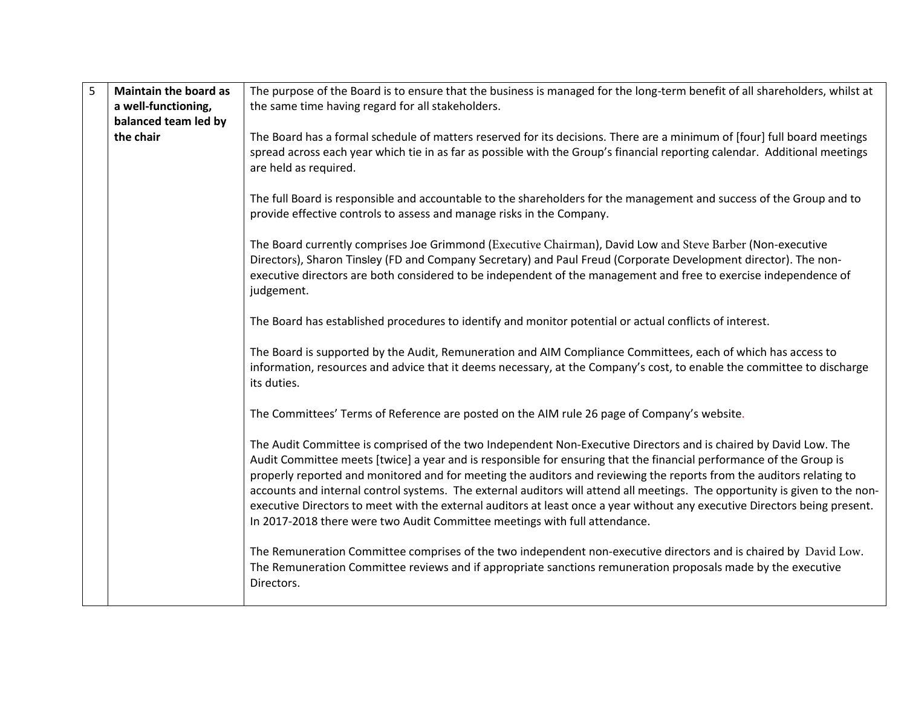| 5 | <b>Maintain the board as</b> | The purpose of the Board is to ensure that the business is managed for the long-term benefit of all shareholders, whilst at                                                                                                                                                                                                                                                                                                                                                                                                                                                                                                                                                                                |
|---|------------------------------|------------------------------------------------------------------------------------------------------------------------------------------------------------------------------------------------------------------------------------------------------------------------------------------------------------------------------------------------------------------------------------------------------------------------------------------------------------------------------------------------------------------------------------------------------------------------------------------------------------------------------------------------------------------------------------------------------------|
|   | a well-functioning,          | the same time having regard for all stakeholders.                                                                                                                                                                                                                                                                                                                                                                                                                                                                                                                                                                                                                                                          |
|   | balanced team led by         |                                                                                                                                                                                                                                                                                                                                                                                                                                                                                                                                                                                                                                                                                                            |
|   | the chair                    | The Board has a formal schedule of matters reserved for its decisions. There are a minimum of [four] full board meetings<br>spread across each year which tie in as far as possible with the Group's financial reporting calendar. Additional meetings<br>are held as required.                                                                                                                                                                                                                                                                                                                                                                                                                            |
|   |                              | The full Board is responsible and accountable to the shareholders for the management and success of the Group and to<br>provide effective controls to assess and manage risks in the Company.                                                                                                                                                                                                                                                                                                                                                                                                                                                                                                              |
|   |                              | The Board currently comprises Joe Grimmond (Executive Chairman), David Low and Steve Barber (Non-executive<br>Directors), Sharon Tinsley (FD and Company Secretary) and Paul Freud (Corporate Development director). The non-<br>executive directors are both considered to be independent of the management and free to exercise independence of<br>judgement.                                                                                                                                                                                                                                                                                                                                            |
|   |                              | The Board has established procedures to identify and monitor potential or actual conflicts of interest.                                                                                                                                                                                                                                                                                                                                                                                                                                                                                                                                                                                                    |
|   |                              | The Board is supported by the Audit, Remuneration and AIM Compliance Committees, each of which has access to<br>information, resources and advice that it deems necessary, at the Company's cost, to enable the committee to discharge<br>its duties.                                                                                                                                                                                                                                                                                                                                                                                                                                                      |
|   |                              | The Committees' Terms of Reference are posted on the AIM rule 26 page of Company's website.                                                                                                                                                                                                                                                                                                                                                                                                                                                                                                                                                                                                                |
|   |                              | The Audit Committee is comprised of the two Independent Non-Executive Directors and is chaired by David Low. The<br>Audit Committee meets [twice] a year and is responsible for ensuring that the financial performance of the Group is<br>properly reported and monitored and for meeting the auditors and reviewing the reports from the auditors relating to<br>accounts and internal control systems. The external auditors will attend all meetings. The opportunity is given to the non-<br>executive Directors to meet with the external auditors at least once a year without any executive Directors being present.<br>In 2017-2018 there were two Audit Committee meetings with full attendance. |
|   |                              | The Remuneration Committee comprises of the two independent non-executive directors and is chaired by David Low.<br>The Remuneration Committee reviews and if appropriate sanctions remuneration proposals made by the executive<br>Directors.                                                                                                                                                                                                                                                                                                                                                                                                                                                             |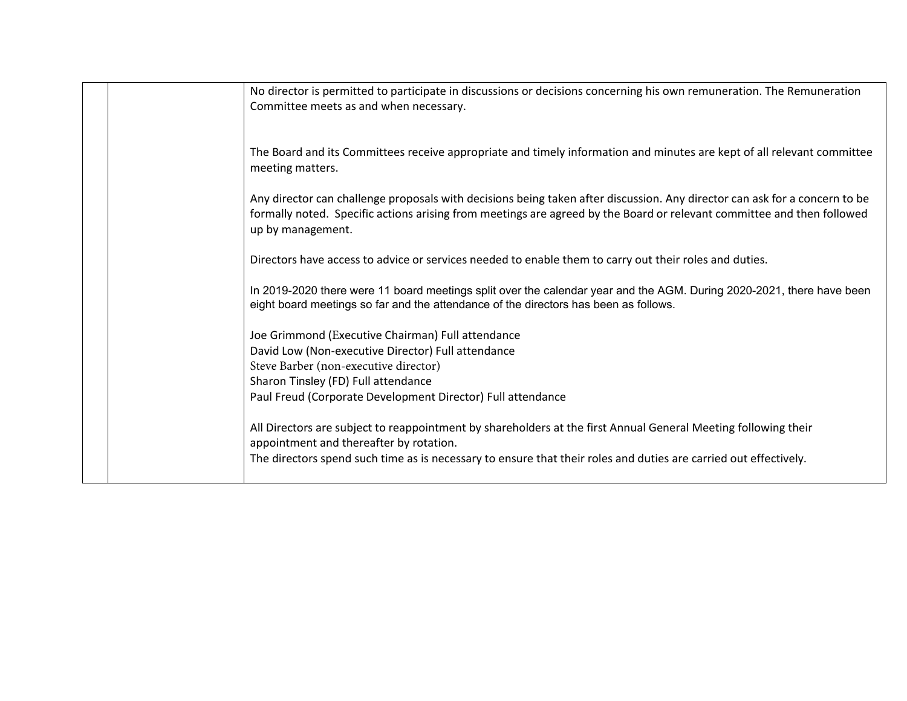|  | No director is permitted to participate in discussions or decisions concerning his own remuneration. The Remuneration                       |
|--|---------------------------------------------------------------------------------------------------------------------------------------------|
|  | Committee meets as and when necessary.                                                                                                      |
|  |                                                                                                                                             |
|  | The Board and its Committees receive appropriate and timely information and minutes are kept of all relevant committee                      |
|  | meeting matters.                                                                                                                            |
|  | Any director can challenge proposals with decisions being taken after discussion. Any director can ask for a concern to be                  |
|  | formally noted. Specific actions arising from meetings are agreed by the Board or relevant committee and then followed<br>up by management. |
|  |                                                                                                                                             |
|  | Directors have access to advice or services needed to enable them to carry out their roles and duties.                                      |
|  | In 2019-2020 there were 11 board meetings split over the calendar year and the AGM. During 2020-2021, there have been                       |
|  | eight board meetings so far and the attendance of the directors has been as follows.                                                        |
|  | Joe Grimmond (Executive Chairman) Full attendance                                                                                           |
|  | David Low (Non-executive Director) Full attendance                                                                                          |
|  | Steve Barber (non-executive director)                                                                                                       |
|  | Sharon Tinsley (FD) Full attendance                                                                                                         |
|  | Paul Freud (Corporate Development Director) Full attendance                                                                                 |
|  | All Directors are subject to reappointment by shareholders at the first Annual General Meeting following their                              |
|  | appointment and thereafter by rotation.                                                                                                     |
|  | The directors spend such time as is necessary to ensure that their roles and duties are carried out effectively.                            |
|  |                                                                                                                                             |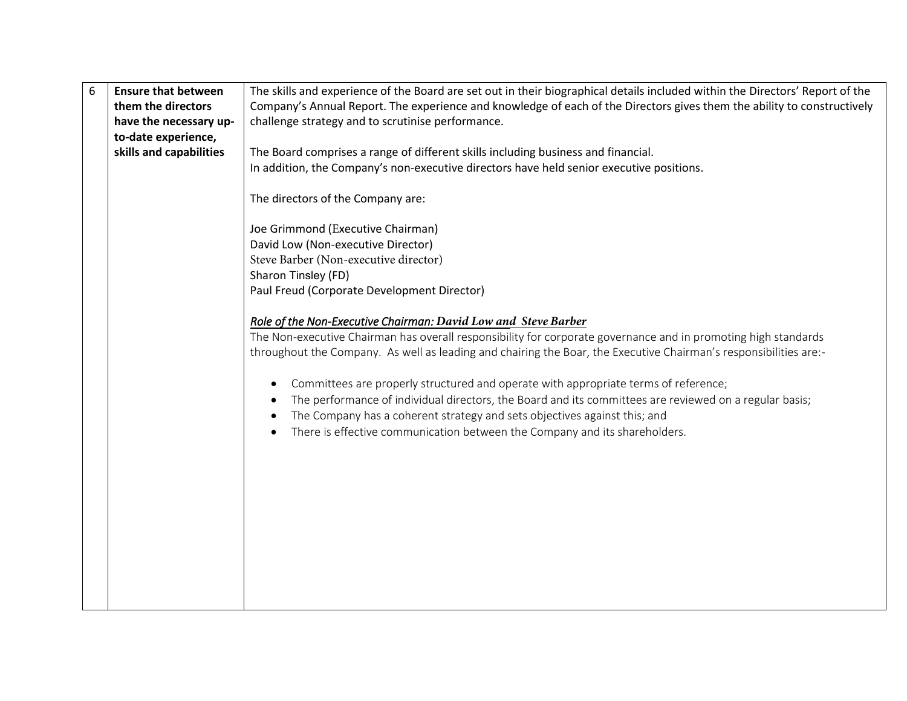| 6 | <b>Ensure that between</b> | The skills and experience of the Board are set out in their biographical details included within the Directors' Report of the |
|---|----------------------------|-------------------------------------------------------------------------------------------------------------------------------|
|   | them the directors         | Company's Annual Report. The experience and knowledge of each of the Directors gives them the ability to constructively       |
|   | have the necessary up-     | challenge strategy and to scrutinise performance.                                                                             |
|   | to-date experience,        |                                                                                                                               |
|   | skills and capabilities    | The Board comprises a range of different skills including business and financial.                                             |
|   |                            | In addition, the Company's non-executive directors have held senior executive positions.                                      |
|   |                            |                                                                                                                               |
|   |                            | The directors of the Company are:                                                                                             |
|   |                            |                                                                                                                               |
|   |                            | Joe Grimmond (Executive Chairman)                                                                                             |
|   |                            | David Low (Non-executive Director)                                                                                            |
|   |                            | Steve Barber (Non-executive director)                                                                                         |
|   |                            | Sharon Tinsley (FD)                                                                                                           |
|   |                            | Paul Freud (Corporate Development Director)                                                                                   |
|   |                            | Role of the Non-Executive Chairman: David Low and Steve Barber                                                                |
|   |                            | The Non-executive Chairman has overall responsibility for corporate governance and in promoting high standards                |
|   |                            | throughout the Company. As well as leading and chairing the Boar, the Executive Chairman's responsibilities are:-             |
|   |                            |                                                                                                                               |
|   |                            | Committees are properly structured and operate with appropriate terms of reference;                                           |
|   |                            | The performance of individual directors, the Board and its committees are reviewed on a regular basis;                        |
|   |                            | The Company has a coherent strategy and sets objectives against this; and                                                     |
|   |                            | There is effective communication between the Company and its shareholders.                                                    |
|   |                            |                                                                                                                               |
|   |                            |                                                                                                                               |
|   |                            |                                                                                                                               |
|   |                            |                                                                                                                               |
|   |                            |                                                                                                                               |
|   |                            |                                                                                                                               |
|   |                            |                                                                                                                               |
|   |                            |                                                                                                                               |
|   |                            |                                                                                                                               |
|   |                            |                                                                                                                               |
|   |                            |                                                                                                                               |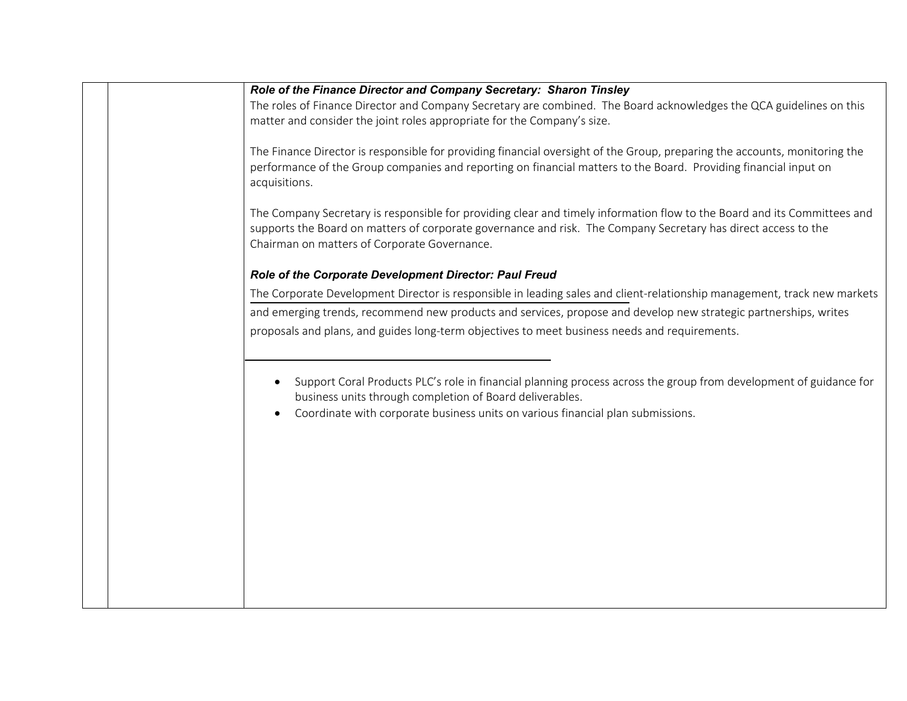|  | Role of the Finance Director and Company Secretary: Sharon Tinsley                                                         |
|--|----------------------------------------------------------------------------------------------------------------------------|
|  | The roles of Finance Director and Company Secretary are combined. The Board acknowledges the QCA guidelines on this        |
|  | matter and consider the joint roles appropriate for the Company's size.                                                    |
|  |                                                                                                                            |
|  | The Finance Director is responsible for providing financial oversight of the Group, preparing the accounts, monitoring the |
|  | performance of the Group companies and reporting on financial matters to the Board. Providing financial input on           |
|  | acquisitions.                                                                                                              |
|  |                                                                                                                            |
|  | The Company Secretary is responsible for providing clear and timely information flow to the Board and its Committees and   |
|  | supports the Board on matters of corporate governance and risk. The Company Secretary has direct access to the             |
|  | Chairman on matters of Corporate Governance.                                                                               |
|  | Role of the Corporate Development Director: Paul Freud                                                                     |
|  | The Corporate Development Director is responsible in leading sales and client-relationship management, track new markets   |
|  | and emerging trends, recommend new products and services, propose and develop new strategic partnerships, writes           |
|  | proposals and plans, and guides long-term objectives to meet business needs and requirements.                              |
|  |                                                                                                                            |
|  |                                                                                                                            |
|  | Support Coral Products PLC's role in financial planning process across the group from development of guidance for          |
|  | business units through completion of Board deliverables.                                                                   |
|  | Coordinate with corporate business units on various financial plan submissions.                                            |
|  |                                                                                                                            |
|  |                                                                                                                            |
|  |                                                                                                                            |
|  |                                                                                                                            |
|  |                                                                                                                            |
|  |                                                                                                                            |
|  |                                                                                                                            |
|  |                                                                                                                            |
|  |                                                                                                                            |
|  |                                                                                                                            |
|  |                                                                                                                            |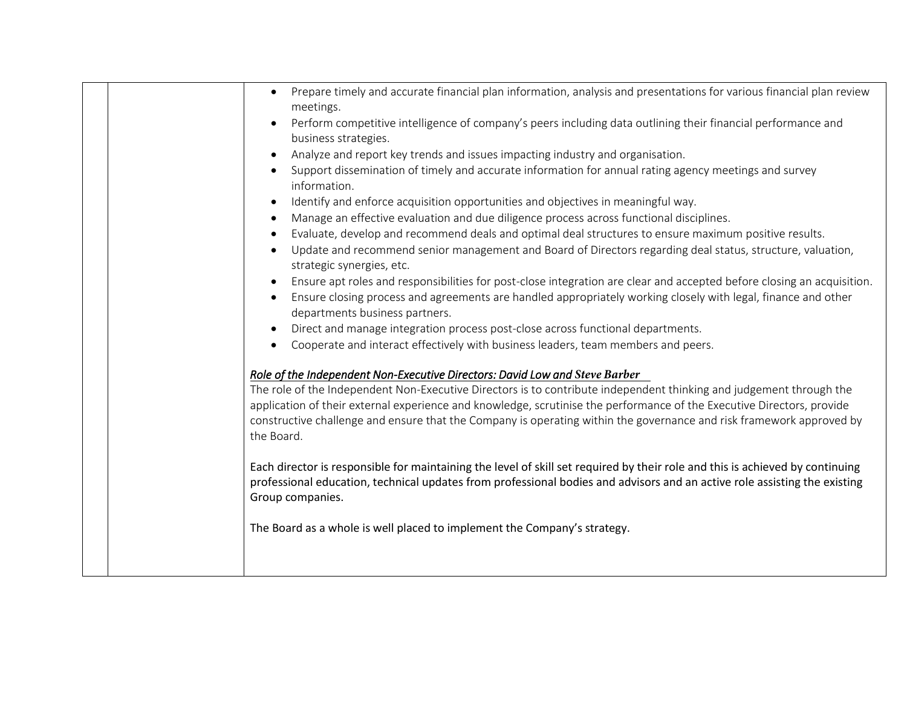|  | Prepare timely and accurate financial plan information, analysis and presentations for various financial plan review<br>$\bullet$<br>meetings.                                                                                                                                                                                                                                      |
|--|-------------------------------------------------------------------------------------------------------------------------------------------------------------------------------------------------------------------------------------------------------------------------------------------------------------------------------------------------------------------------------------|
|  | Perform competitive intelligence of company's peers including data outlining their financial performance and<br>business strategies.                                                                                                                                                                                                                                                |
|  | Analyze and report key trends and issues impacting industry and organisation.                                                                                                                                                                                                                                                                                                       |
|  | Support dissemination of timely and accurate information for annual rating agency meetings and survey<br>information.                                                                                                                                                                                                                                                               |
|  | Identify and enforce acquisition opportunities and objectives in meaningful way.<br>$\bullet$                                                                                                                                                                                                                                                                                       |
|  | Manage an effective evaluation and due diligence process across functional disciplines.<br>$\bullet$                                                                                                                                                                                                                                                                                |
|  | Evaluate, develop and recommend deals and optimal deal structures to ensure maximum positive results.                                                                                                                                                                                                                                                                               |
|  | Update and recommend senior management and Board of Directors regarding deal status, structure, valuation,<br>$\bullet$<br>strategic synergies, etc.                                                                                                                                                                                                                                |
|  | Ensure apt roles and responsibilities for post-close integration are clear and accepted before closing an acquisition.                                                                                                                                                                                                                                                              |
|  | Ensure closing process and agreements are handled appropriately working closely with legal, finance and other<br>departments business partners.                                                                                                                                                                                                                                     |
|  | Direct and manage integration process post-close across functional departments.                                                                                                                                                                                                                                                                                                     |
|  | Cooperate and interact effectively with business leaders, team members and peers.                                                                                                                                                                                                                                                                                                   |
|  | Role of the Independent Non-Executive Directors: David Low and Steve Barber                                                                                                                                                                                                                                                                                                         |
|  | The role of the Independent Non-Executive Directors is to contribute independent thinking and judgement through the<br>application of their external experience and knowledge, scrutinise the performance of the Executive Directors, provide<br>constructive challenge and ensure that the Company is operating within the governance and risk framework approved by<br>the Board. |
|  | Each director is responsible for maintaining the level of skill set required by their role and this is achieved by continuing<br>professional education, technical updates from professional bodies and advisors and an active role assisting the existing<br>Group companies.                                                                                                      |
|  | The Board as a whole is well placed to implement the Company's strategy.                                                                                                                                                                                                                                                                                                            |
|  |                                                                                                                                                                                                                                                                                                                                                                                     |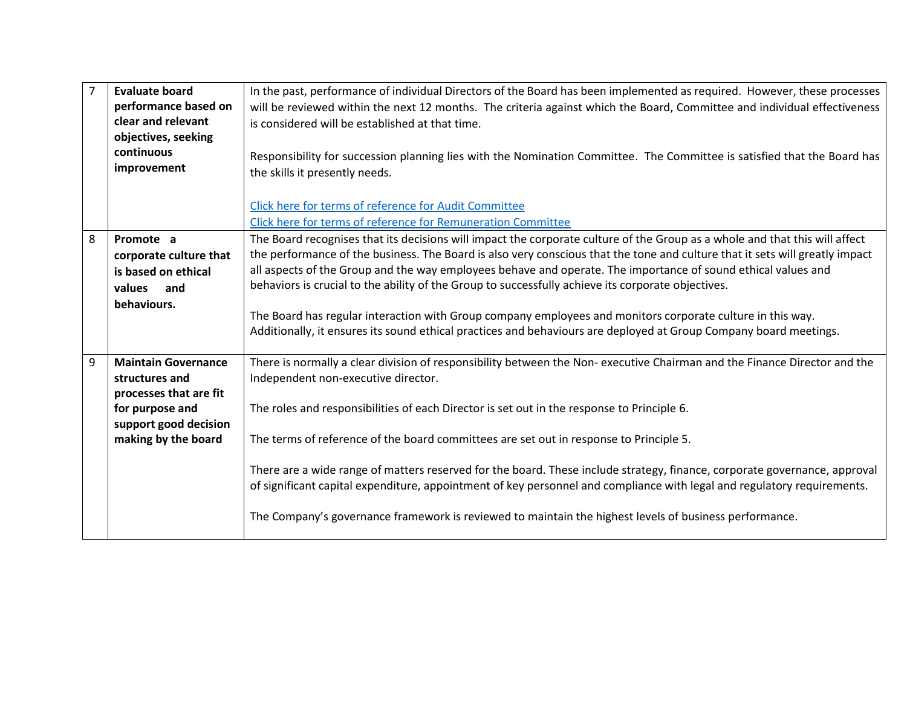| $\overline{7}$ | <b>Evaluate board</b><br>performance based on<br>clear and relevant<br>objectives, seeking<br>continuous<br>improvement                   | In the past, performance of individual Directors of the Board has been implemented as required. However, these processes<br>will be reviewed within the next 12 months. The criteria against which the Board, Committee and individual effectiveness<br>is considered will be established at that time.<br>Responsibility for succession planning lies with the Nomination Committee. The Committee is satisfied that the Board has<br>the skills it presently needs.<br>Click here for terms of reference for Audit Committee<br>Click here for terms of reference for Remuneration Committee                                                                                                                            |
|----------------|-------------------------------------------------------------------------------------------------------------------------------------------|---------------------------------------------------------------------------------------------------------------------------------------------------------------------------------------------------------------------------------------------------------------------------------------------------------------------------------------------------------------------------------------------------------------------------------------------------------------------------------------------------------------------------------------------------------------------------------------------------------------------------------------------------------------------------------------------------------------------------|
| 8              | Promote a<br>corporate culture that<br>is based on ethical<br>values and<br>behaviours.                                                   | The Board recognises that its decisions will impact the corporate culture of the Group as a whole and that this will affect<br>the performance of the business. The Board is also very conscious that the tone and culture that it sets will greatly impact<br>all aspects of the Group and the way employees behave and operate. The importance of sound ethical values and<br>behaviors is crucial to the ability of the Group to successfully achieve its corporate objectives.<br>The Board has regular interaction with Group company employees and monitors corporate culture in this way.<br>Additionally, it ensures its sound ethical practices and behaviours are deployed at Group Company board meetings.     |
| 9              | <b>Maintain Governance</b><br>structures and<br>processes that are fit<br>for purpose and<br>support good decision<br>making by the board | There is normally a clear division of responsibility between the Non-executive Chairman and the Finance Director and the<br>Independent non-executive director.<br>The roles and responsibilities of each Director is set out in the response to Principle 6.<br>The terms of reference of the board committees are set out in response to Principle 5.<br>There are a wide range of matters reserved for the board. These include strategy, finance, corporate governance, approval<br>of significant capital expenditure, appointment of key personnel and compliance with legal and regulatory requirements.<br>The Company's governance framework is reviewed to maintain the highest levels of business performance. |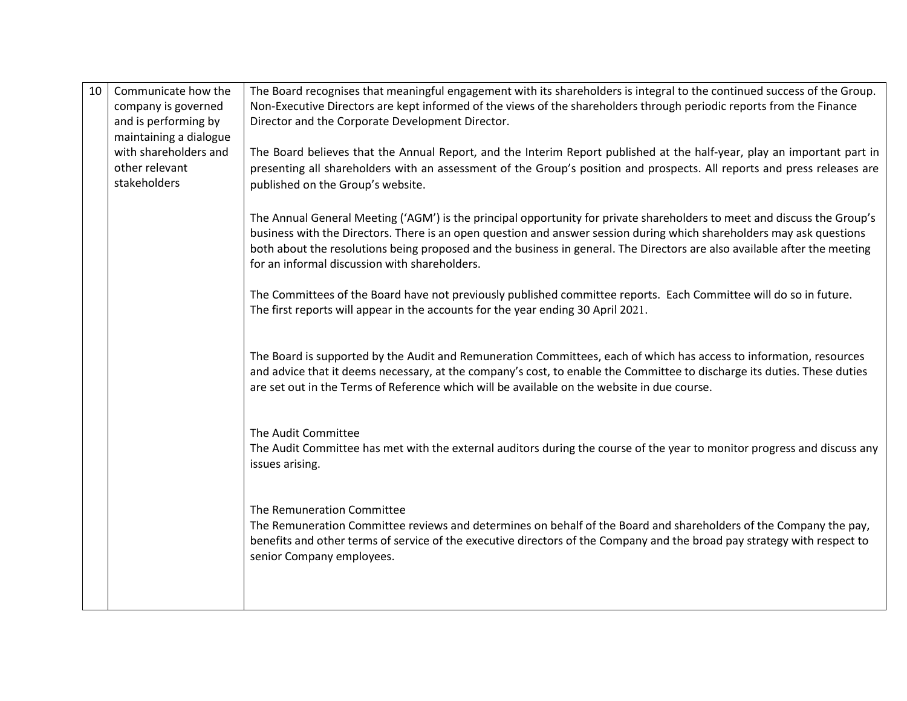| 10 | Communicate how the<br>company is governed<br>and is performing by<br>maintaining a dialogue | The Board recognises that meaningful engagement with its shareholders is integral to the continued success of the Group.<br>Non-Executive Directors are kept informed of the views of the shareholders through periodic reports from the Finance<br>Director and the Corporate Development Director.                                                                                                                            |
|----|----------------------------------------------------------------------------------------------|---------------------------------------------------------------------------------------------------------------------------------------------------------------------------------------------------------------------------------------------------------------------------------------------------------------------------------------------------------------------------------------------------------------------------------|
|    | with shareholders and<br>other relevant<br>stakeholders                                      | The Board believes that the Annual Report, and the Interim Report published at the half-year, play an important part in<br>presenting all shareholders with an assessment of the Group's position and prospects. All reports and press releases are<br>published on the Group's website.                                                                                                                                        |
|    |                                                                                              | The Annual General Meeting ('AGM') is the principal opportunity for private shareholders to meet and discuss the Group's<br>business with the Directors. There is an open question and answer session during which shareholders may ask questions<br>both about the resolutions being proposed and the business in general. The Directors are also available after the meeting<br>for an informal discussion with shareholders. |
|    |                                                                                              | The Committees of the Board have not previously published committee reports. Each Committee will do so in future.<br>The first reports will appear in the accounts for the year ending 30 April 2021.                                                                                                                                                                                                                           |
|    |                                                                                              | The Board is supported by the Audit and Remuneration Committees, each of which has access to information, resources<br>and advice that it deems necessary, at the company's cost, to enable the Committee to discharge its duties. These duties<br>are set out in the Terms of Reference which will be available on the website in due course.                                                                                  |
|    |                                                                                              | The Audit Committee<br>The Audit Committee has met with the external auditors during the course of the year to monitor progress and discuss any<br>issues arising.                                                                                                                                                                                                                                                              |
|    |                                                                                              | The Remuneration Committee<br>The Remuneration Committee reviews and determines on behalf of the Board and shareholders of the Company the pay,<br>benefits and other terms of service of the executive directors of the Company and the broad pay strategy with respect to<br>senior Company employees.                                                                                                                        |
|    |                                                                                              |                                                                                                                                                                                                                                                                                                                                                                                                                                 |